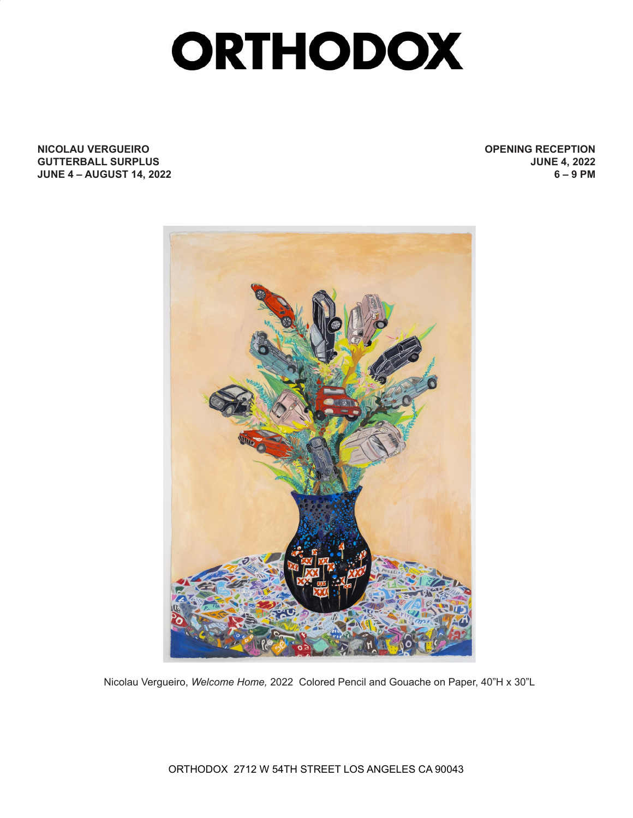## **ORTHODOX**

**NICOLAU VERGUEIRO GUTTERBALL SURPLUS JUNE 4 – AUGUST 14, 2022** **OPENING RECEPTION JUNE 4, 2022 6 – 9 PM**



Nicolau Vergueiro, *Welcome Home,* 2022 Colored Pencil and Gouache on Paper, 40"H x 30"L

ORTHODOX 2712 W 54TH STREET LOS ANGELES CA 90043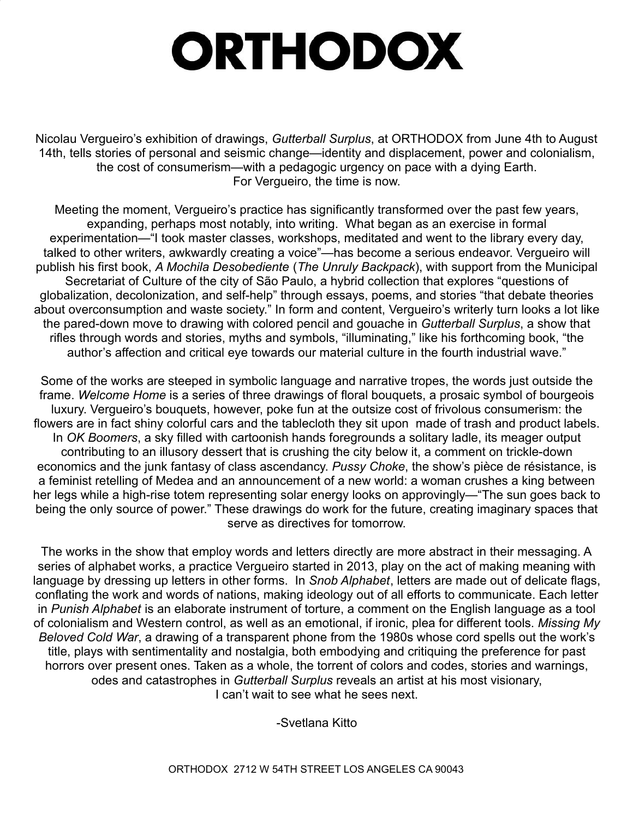## **ORTHODOX**

Nicolau Vergueiro's exhibition of drawings, *Gutterball Surplus*, at ORTHODOX from June 4th to August 14th, tells stories of personal and seismic change—identity and displacement, power and colonialism, the cost of consumerism—with a pedagogic urgency on pace with a dying Earth. For Vergueiro, the time is now.

Meeting the moment, Vergueiro's practice has significantly transformed over the past few years, expanding, perhaps most notably, into writing. What began as an exercise in formal experimentation—"I took master classes, workshops, meditated and went to the library every day, talked to other writers, awkwardly creating a voice"—has become a serious endeavor. Vergueiro will publish his first book, *A Mochila Desobediente* (*The Unruly Backpack*), with support from the Municipal Secretariat of Culture of the city of São Paulo, a hybrid collection that explores "questions of globalization, decolonization, and self-help" through essays, poems, and stories "that debate theories about overconsumption and waste society." In form and content, Vergueiro's writerly turn looks a lot like the pared-down move to drawing with colored pencil and gouache in *Gutterball Surplus*, a show that rifles through words and stories, myths and symbols, "illuminating," like his forthcoming book, "the author's affection and critical eye towards our material culture in the fourth industrial wave."

Some of the works are steeped in symbolic language and narrative tropes, the words just outside the frame. *Welcome Home* is a series of three drawings of floral bouquets, a prosaic symbol of bourgeois luxury. Vergueiro's bouquets, however, poke fun at the outsize cost of frivolous consumerism: the flowers are in fact shiny colorful cars and the tablecloth they sit upon made of trash and product labels. In *OK Boomers*, a sky filled with cartoonish hands foregrounds a solitary ladle, its meager output contributing to an illusory dessert that is crushing the city below it, a comment on trickle-down economics and the junk fantasy of class ascendancy. *Pussy Choke*, the show's pièce de résistance, is a feminist retelling of Medea and an announcement of a new world: a woman crushes a king between her legs while a high-rise totem representing solar energy looks on approvingly—"The sun goes back to being the only source of power." These drawings do work for the future, creating imaginary spaces that serve as directives for tomorrow.

The works in the show that employ words and letters directly are more abstract in their messaging. A series of alphabet works, a practice Vergueiro started in 2013, play on the act of making meaning with language by dressing up letters in other forms. In *Snob Alphabet*, letters are made out of delicate flags, conflating the work and words of nations, making ideology out of all efforts to communicate. Each letter in *Punish Alphabet* is an elaborate instrument of torture, a comment on the English language as a tool of colonialism and Western control, as well as an emotional, if ironic, plea for different tools. *Missing My Beloved Cold War*, a drawing of a transparent phone from the 1980s whose cord spells out the work's title, plays with sentimentality and nostalgia, both embodying and critiquing the preference for past horrors over present ones. Taken as a whole, the torrent of colors and codes, stories and warnings, odes and catastrophes in *Gutterball Surplus* reveals an artist at his most visionary, I can't wait to see what he sees next.

-Svetlana Kitto